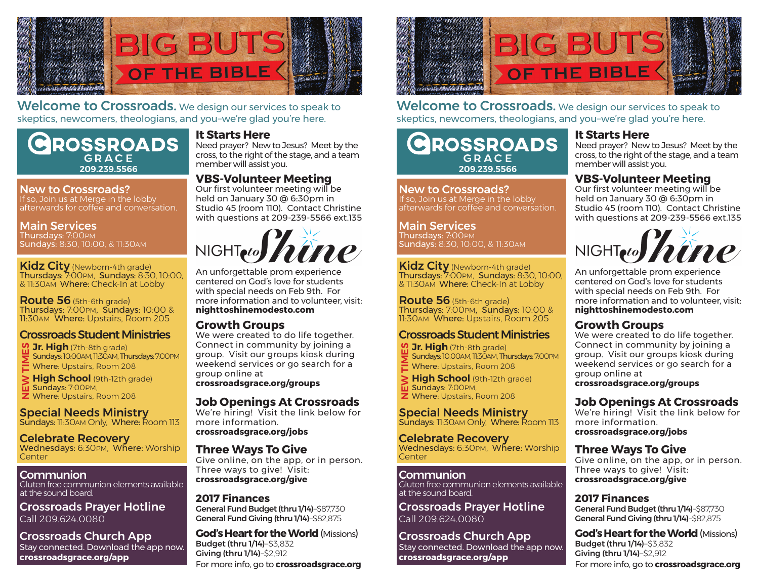

Welcome to Crossroads. We design our services to speak to skeptics, newcomers, theologians, and you–we're glad you're here.

## **ROSSROADS**  $GDACF$ member will assist you. **209.239.5566**

#### New to Crossroads?

If so, Join us at Merge in the lobby afterwards for coffee and conversation.

Main Services Thursdays: 7:00PM

Sundays: 8:30, 10:00, & 11:30AM

Kidz City (Newborn-4th grade) Thursdays: 7:00PM, Sundays: 8:30, 10:00, & 11:30AM Where: Check-In at Lobby

Route 56 (5th-6th grade) Thursdays: 7:00PM, Sundays: 10:00 & 11:30AM Where: Upstairs, Room 205

## Crossroads Student Ministries

**Jr. High** (7th-8th grade) Sundays: 10:00AM, 11:30AM, Thursdays: 7:00PM **E** Where: Upstairs, Room 208 **NEW TIMES**

**High School** (9th-12th grade) **II** Sundays: 7:00PM, **Z** Where: Upstairs, Room 208

### Special Needs Ministry

Sundays: 11:30AM Only, Where: Room 113

Celebrate Recovery Wednesdays: 6:30PM, Where: Worship **Center** 

#### Communion

Gluten free communion elements available at the sound board.

Crossroads Prayer Hotline Call 209.624.0080

Crossroads Church App Stay connected. Download the app now. **crossroadsgrace.org/app**

#### **It Starts Here**

Need prayer? New to Jesus? Meet by the cross, to the right of the stage, and a team

## **VBS-Volunteer Meeting**

Our first volunteer meeting will be held on January 30 @ 6:30pm in Studio 45 (room 110). Contact Christine with questions at 209-239-5566 ext.135



An unforgettable prom experience centered on God's love for students with special needs on Feb 9th. For more information and to volunteer, visit: **nighttoshinemodesto.com**

### **Growth Groups**

We were created to do life together. Connect in community by joining a group. Visit our groups kiosk during weekend services or go search for a group online at

**crossroadsgrace.org/groups**

#### **Job Openings At Crossroads**

We're hiring! Visit the link below for more information. **crossroadsgrace.org/jobs**

#### **Three Ways To Give**

Give online, on the app, or in person. Three ways to give! Visit: **crossroadsgrace.org/give**

#### **2017 Finances**

General Fund Budget (thru 1/14)–\$87,730 General Fund Giving (thru 1/14)–\$82,875

For more info, go to **crossroadsgrace.org God's Heart for the World** (Missions) Budget (thru 1/14)–\$3,832 Giving (thru 1/14)–\$2,912



Welcome to Crossroads. We design our services to speak to skeptics, newcomers, theologians, and you–we're glad you're here.

# **ROSSROADS** GRACE member will assist you. **209.239.5566**

New to Crossroads? If so, Join us at Merge in the lobby afterwards for coffee and conversation.

#### Main Services

Thursdays: 7:00PM Sundays: 8:30, 10:00, & 11:30AM

**Kidz City** (Newborn-4th grade) Thursdays: 7:00PM, Sundays: 8:30, 10:00, & 11:30AM Where: Check-In at Lobby

Route 56 (5th-6th grade) Thursdays: 7:00PM, Sundays: 10:00 & 11:30AM Where: Upstairs, Room 205

## Crossroads Student Ministries

**Jr. High** (7th-8th grade) Sundays: 10:00AM, 11:30AM, Thursdays: 7:00PM Sundays: 10:00AM, 11:30AM, Thurs<br>Where: Upstairs, Room 208

**High School** (9th-12th grade) Sundays: 7:00PM, **Z** Where: Upstairs, Room 208 **NEW TIMES**

Special Needs Ministry Sundays: 11:30AM Only, Where: Room 113

Celebrate Recovery Wednesdays: 6:30PM, Where: Worship **Center** 

#### Communion

Gluten free communion elements available at the sound board.

Crossroads Prayer Hotline Call 209.624.0080

Crossroads Church App Stay connected. Download the app now. **crossroadsgrace.org/app**

#### **It Starts Here**

Need prayer? New to Jesus? Meet by the cross, to the right of the stage, and a team

## **VBS-Volunteer Meeting**

Our first volunteer meeting will be held on January 30 @ 6:30pm in Studio 45 (room 110). Contact Christine with questions at 209-239-5566 ext.135



An unforgettable prom experience centered on God's love for students with special needs on Feb 9th. For more information and to volunteer, visit: **nighttoshinemodesto.com**

## **Growth Groups**

We were created to do life together. Connect in community by joining a group. Visit our groups kiosk during weekend services or go search for a group online at

**crossroadsgrace.org/groups**

## **Job Openings At Crossroads**

We're hiring! Visit the link below for more information. **crossroadsgrace.org/jobs**

## **Three Ways To Give**

Give online, on the app, or in person. Three ways to give! Visit: **crossroadsgrace.org/give**

## **2017 Finances**

General Fund Budget (thru 1/14)–\$87,730 General Fund Giving (thru 1/14)–\$82,875

For more info, go to **crossroadsgrace.org God's Heart for the World** (Missions) Budget (thru 1/14)–\$3,832 Giving (thru 1/14)–\$2,912